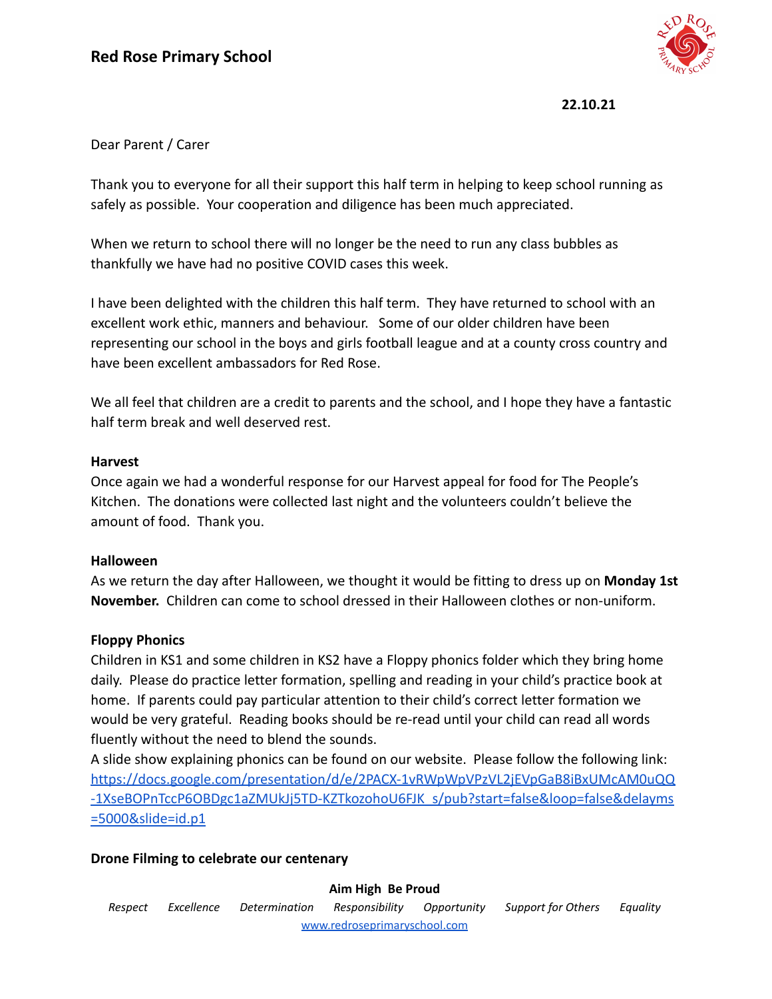

**22.10.21**

## Dear Parent / Carer

Thank you to everyone for all their support this half term in helping to keep school running as safely as possible. Your cooperation and diligence has been much appreciated.

When we return to school there will no longer be the need to run any class bubbles as thankfully we have had no positive COVID cases this week.

I have been delighted with the children this half term. They have returned to school with an excellent work ethic, manners and behaviour. Some of our older children have been representing our school in the boys and girls football league and at a county cross country and have been excellent ambassadors for Red Rose.

We all feel that children are a credit to parents and the school, and I hope they have a fantastic half term break and well deserved rest.

### **Harvest**

Once again we had a wonderful response for our Harvest appeal for food for The People's Kitchen. The donations were collected last night and the volunteers couldn't believe the amount of food. Thank you.

### **Halloween**

As we return the day after Halloween, we thought it would be fitting to dress up on **Monday 1st November.** Children can come to school dressed in their Halloween clothes or non-uniform.

## **Floppy Phonics**

Children in KS1 and some children in KS2 have a Floppy phonics folder which they bring home daily. Please do practice letter formation, spelling and reading in your child's practice book at home. If parents could pay particular attention to their child's correct letter formation we would be very grateful. Reading books should be re-read until your child can read all words fluently without the need to blend the sounds.

A slide show explaining phonics can be found on our website. Please follow the following link: [https://docs.google.com/presentation/d/e/2PACX-1vRWpWpVPzVL2jEVpGaB8iBxUMcAM0uQQ](https://docs.google.com/presentation/d/e/2PACX-1vRWpWpVPzVL2jEVpGaB8iBxUMcAM0uQQ-1XseBOPnTccP6OBDgc1aZMUkJj5TD-KZTkozohoU6FJK_s/pub?start=false&loop=false&delayms=5000&slide=id.p1) [-1XseBOPnTccP6OBDgc1aZMUkJj5TD-KZTkozohoU6FJK\\_s/pub?start=false&loop=false&delayms](https://docs.google.com/presentation/d/e/2PACX-1vRWpWpVPzVL2jEVpGaB8iBxUMcAM0uQQ-1XseBOPnTccP6OBDgc1aZMUkJj5TD-KZTkozohoU6FJK_s/pub?start=false&loop=false&delayms=5000&slide=id.p1) [=5000&slide=id.p1](https://docs.google.com/presentation/d/e/2PACX-1vRWpWpVPzVL2jEVpGaB8iBxUMcAM0uQQ-1XseBOPnTccP6OBDgc1aZMUkJj5TD-KZTkozohoU6FJK_s/pub?start=false&loop=false&delayms=5000&slide=id.p1)

## **Drone Filming to celebrate our centenary**

### **Aim High Be Proud**